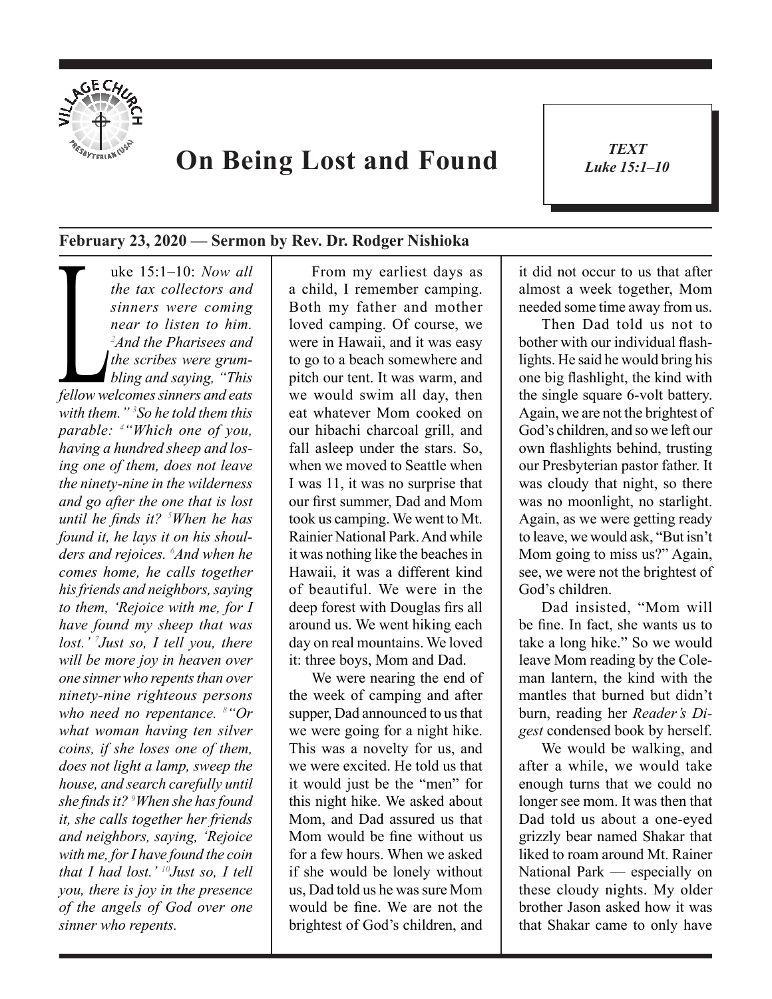

## **On Being Lost and Found**

*TEXT Luke 15:1–10* 1

## **February 23, 2020 — Sermon by Rev. Dr. Rodger Nishioka**

**Luke 15:1–10:** *Now all the tax collectors and sinners were coming near to listen to him.*<br>
<sup>2</sup>*And the Pharisees and the scribes were grumbling and saying, "This fellow welcomes sinners and eats" the tax collectors and sinners were coming near to listen to him. 2 And the Pharisees and the scribes were grumbling and saying, "This with them." 3 So he told them this parable: 4 "Which one of you, having a hundred sheep and losing one of them, does not leave the ninety-nine in the wilderness and go after the one that is lost until he finds it? <sup>5</sup> When he has found it, he lays it on his shoulders and rejoices. 6 And when he comes home, he calls together his friends and neighbors, saying to them, 'Rejoice with me, for I have found my sheep that was lost.' 7 Just so, I tell you, there will be more joy in heaven over one sinner who repents than over ninety-nine righteous persons who need no repentance. 8 "Or what woman having ten silver coins, if she loses one of them, does not light a lamp, sweep the house, and search carefully until she finds it? <sup>9</sup> When she has found it, she calls together her friends and neighbors, saying, 'Rejoice with me, for I have found the coin that I had lost.' 10Just so, I tell you, there is joy in the presence of the angels of God over one sinner who repents.* 

From my earliest days as a child, I remember camping. Both my father and mother loved camping. Of course, we were in Hawaii, and it was easy to go to a beach somewhere and pitch our tent. It was warm, and we would swim all day, then eat whatever Mom cooked on our hibachi charcoal grill, and fall asleep under the stars. So, when we moved to Seattle when I was 11, it was no surprise that our first summer, Dad and Mom took us camping. We went to Mt. Rainier National Park. And while it was nothing like the beaches in Hawaii, it was a different kind of beautiful. We were in the deep forest with Douglas firs all around us. We went hiking each day on real mountains. We loved it: three boys, Mom and Dad.

We were nearing the end of the week of camping and after supper, Dad announced to us that we were going for a night hike. This was a novelty for us, and we were excited. He told us that it would just be the "men" for this night hike. We asked about Mom, and Dad assured us that Mom would be fine without us for a few hours. When we asked if she would be lonely without us, Dad told us he was sure Mom would be fine. We are not the brightest of God's children, and

it did not occur to us that after almost a week together, Mom needed some time away from us.

Then Dad told us not to bother with our individual flashlights. He said he would bring his one big flashlight, the kind with the single square 6-volt battery. Again, we are not the brightest of God's children, and so we left our own flashlights behind, trusting our Presbyterian pastor father. It was cloudy that night, so there was no moonlight, no starlight. Again, as we were getting ready to leave, we would ask, "But isn't Mom going to miss us?" Again, see, we were not the brightest of God's children.

Dad insisted, "Mom will be fine. In fact, she wants us to take a long hike." So we would leave Mom reading by the Coleman lantern, the kind with the mantles that burned but didn't burn, reading her *Reader's Digest* condensed book by herself.

We would be walking, and after a while, we would take enough turns that we could no longer see mom. It was then that Dad told us about a one-eyed grizzly bear named Shakar that liked to roam around Mt. Rainer National Park — especially on these cloudy nights. My older brother Jason asked how it was that Shakar came to only have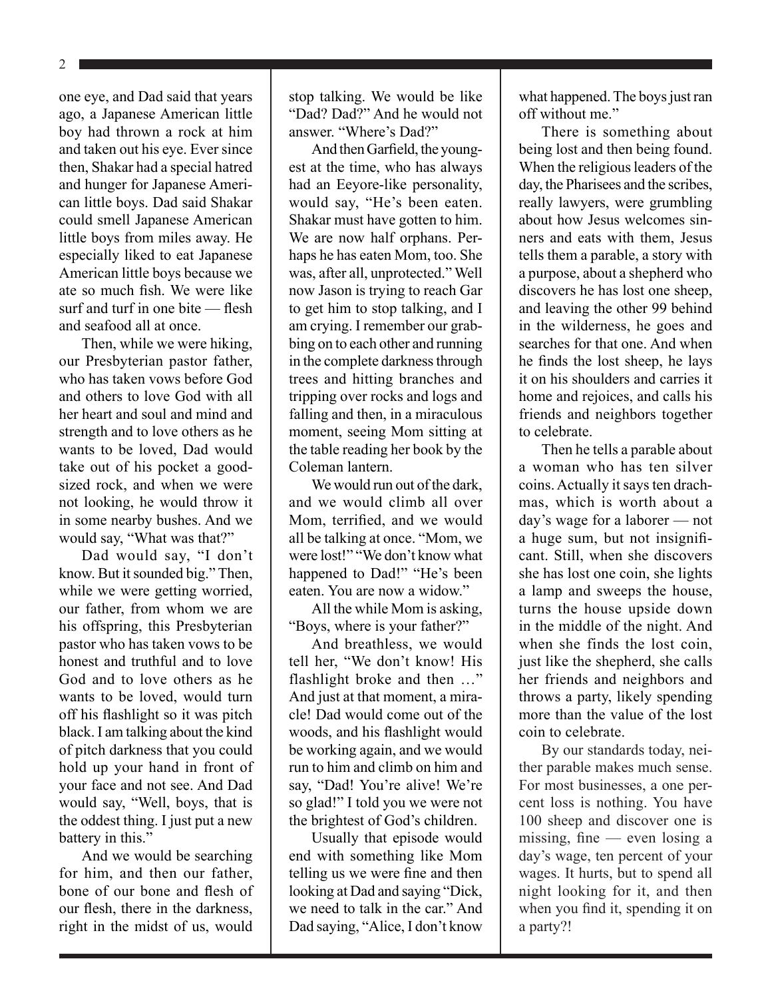2

one eye, and Dad said that years ago, a Japanese American little boy had thrown a rock at him and taken out his eye. Ever since then, Shakar had a special hatred and hunger for Japanese American little boys. Dad said Shakar could smell Japanese American little boys from miles away. He especially liked to eat Japanese American little boys because we ate so much fish. We were like surf and turf in one bite — flesh and seafood all at once.

Then, while we were hiking, our Presbyterian pastor father, who has taken vows before God and others to love God with all her heart and soul and mind and strength and to love others as he wants to be loved, Dad would take out of his pocket a goodsized rock, and when we were not looking, he would throw it in some nearby bushes. And we would say, "What was that?"

Dad would say, "I don't know. But it sounded big." Then, while we were getting worried, our father, from whom we are his offspring, this Presbyterian pastor who has taken vows to be honest and truthful and to love God and to love others as he wants to be loved, would turn off his flashlight so it was pitch black. I am talking about the kind of pitch darkness that you could hold up your hand in front of your face and not see. And Dad would say, "Well, boys, that is the oddest thing. I just put a new battery in this."

And we would be searching for him, and then our father, bone of our bone and flesh of our flesh, there in the darkness, right in the midst of us, would stop talking. We would be like "Dad? Dad?" And he would not answer. "Where's Dad?"

And then Garfield, the youngest at the time, who has always had an Eeyore-like personality, would say, "He's been eaten. Shakar must have gotten to him. We are now half orphans. Perhaps he has eaten Mom, too. She was, after all, unprotected." Well now Jason is trying to reach Gar to get him to stop talking, and I am crying. I remember our grabbing on to each other and running in the complete darkness through trees and hitting branches and tripping over rocks and logs and falling and then, in a miraculous moment, seeing Mom sitting at the table reading her book by the Coleman lantern.

We would run out of the dark. and we would climb all over Mom, terrified, and we would all be talking at once. "Mom, we were lost!" "We don't know what happened to Dad!" "He's been eaten. You are now a widow."

All the while Mom is asking, "Boys, where is your father?"

And breathless, we would tell her, "We don't know! His flashlight broke and then …" And just at that moment, a miracle! Dad would come out of the woods, and his flashlight would be working again, and we would run to him and climb on him and say, "Dad! You're alive! We're so glad!" I told you we were not the brightest of God's children.

Usually that episode would end with something like Mom telling us we were fine and then looking at Dad and saying "Dick, we need to talk in the car." And Dad saying, "Alice, I don't know

what happened. The boys just ran off without me"

There is something about being lost and then being found. When the religious leaders of the day, the Pharisees and the scribes, really lawyers, were grumbling about how Jesus welcomes sinners and eats with them, Jesus tells them a parable, a story with a purpose, about a shepherd who discovers he has lost one sheep, and leaving the other 99 behind in the wilderness, he goes and searches for that one. And when he finds the lost sheep, he lays it on his shoulders and carries it home and rejoices, and calls his friends and neighbors together to celebrate.

Then he tells a parable about a woman who has ten silver coins. Actually it says ten drachmas, which is worth about a day's wage for a laborer — not a huge sum, but not insignificant. Still, when she discovers she has lost one coin, she lights a lamp and sweeps the house, turns the house upside down in the middle of the night. And when she finds the lost coin, just like the shepherd, she calls her friends and neighbors and throws a party, likely spending more than the value of the lost coin to celebrate.

By our standards today, neither parable makes much sense. For most businesses, a one percent loss is nothing. You have 100 sheep and discover one is missing, fine — even losing a day's wage, ten percent of your wages. It hurts, but to spend all night looking for it, and then when you find it, spending it on a party?!